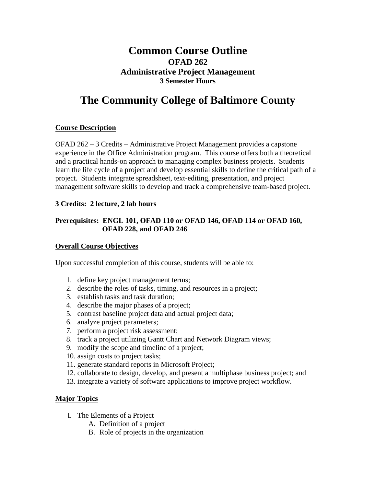## **Common Course Outline OFAD 262 Administrative Project Management 3 Semester Hours**

# **The Community College of Baltimore County**

### **Course Description**

OFAD 262 – 3 Credits – Administrative Project Management provides a capstone experience in the Office Administration program. This course offers both a theoretical and a practical hands-on approach to managing complex business projects. Students learn the life cycle of a project and develop essential skills to define the critical path of a project. Students integrate spreadsheet, text-editing, presentation, and project management software skills to develop and track a comprehensive team-based project.

#### **3 Credits: 2 lecture, 2 lab hours**

#### **Prerequisites: ENGL 101, OFAD 110 or OFAD 146, OFAD 114 or OFAD 160, OFAD 228, and OFAD 246**

#### **Overall Course Objectives**

Upon successful completion of this course, students will be able to:

- 1. define key project management terms;
- 2. describe the roles of tasks, timing, and resources in a project;
- 3. establish tasks and task duration;
- 4. describe the major phases of a project;
- 5. contrast baseline project data and actual project data;
- 6. analyze project parameters;
- 7. perform a project risk assessment;
- 8. track a project utilizing Gantt Chart and Network Diagram views;
- 9. modify the scope and timeline of a project;
- 10. assign costs to project tasks;
- 11. generate standard reports in Microsoft Project;
- 12. collaborate to design, develop, and present a multiphase business project; and
- 13. integrate a variety of software applications to improve project workflow.

#### **Major Topics**

- I. The Elements of a Project
	- A. Definition of a project
	- B. Role of projects in the organization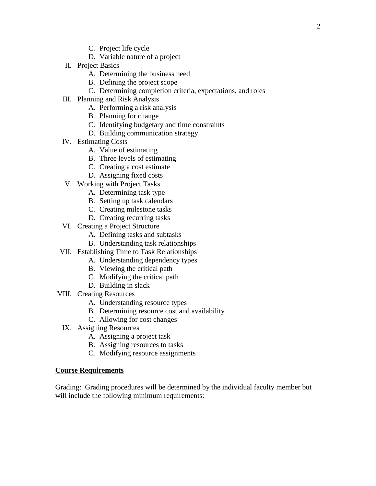- C. Project life cycle
- D. Variable nature of a project
- II. Project Basics
	- A. Determining the business need
	- B. Defining the project scope
	- C. Determining completion criteria, expectations, and roles
- III. Planning and Risk Analysis
	- A. Performing a risk analysis
	- B. Planning for change
	- C. Identifying budgetary and time constraints
	- D. Building communication strategy
- IV. Estimating Costs
	- A. Value of estimating
	- B. Three levels of estimating
	- C. Creating a cost estimate
	- D. Assigning fixed costs
- V. Working with Project Tasks
	- A. Determining task type
	- B. Setting up task calendars
	- C. Creating milestone tasks
	- D. Creating recurring tasks
- VI. Creating a Project Structure
	- A. Defining tasks and subtasks
	- B. Understanding task relationships
- VII. Establishing Time to Task Relationships
	- A. Understanding dependency types
		- B. Viewing the critical path
		- C. Modifying the critical path
		- D. Building in slack
- VIII. Creating Resources
	- A. Understanding resource types
	- B. Determining resource cost and availability
	- C. Allowing for cost changes
	- IX. Assigning Resources
		- A. Assigning a project task
		- B. Assigning resources to tasks
		- C. Modifying resource assignments

#### **Course Requirements**

Grading: Grading procedures will be determined by the individual faculty member but will include the following minimum requirements: